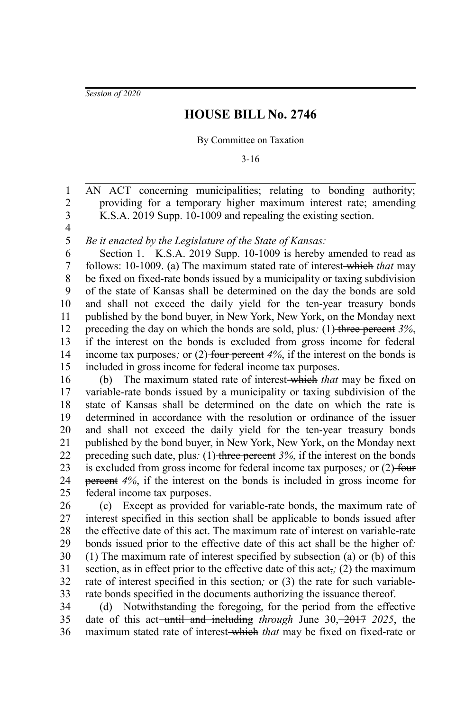*Session of 2020*

## **HOUSE BILL No. 2746**

## By Committee on Taxation

3-16

AN ACT concerning municipalities; relating to bonding authority; providing for a temporary higher maximum interest rate; amending K.S.A. 2019 Supp. 10-1009 and repealing the existing section. 1 2 3

4 5

*Be it enacted by the Legislature of the State of Kansas:*

Section 1. K.S.A. 2019 Supp. 10-1009 is hereby amended to read as follows: 10-1009. (a) The maximum stated rate of interest which *that* may be fixed on fixed-rate bonds issued by a municipality or taxing subdivision of the state of Kansas shall be determined on the day the bonds are sold and shall not exceed the daily yield for the ten-year treasury bonds published by the bond buyer, in New York, New York, on the Monday next preceding the day on which the bonds are sold, plus*:* (1) three percent *3%*, if the interest on the bonds is excluded from gross income for federal income tax purposes; or (2) four percent 4%, if the interest on the bonds is included in gross income for federal income tax purposes. 6 7 8 9 10 11 12 13 14 15

(b) The maximum stated rate of interest which *that* may be fixed on variable-rate bonds issued by a municipality or taxing subdivision of the state of Kansas shall be determined on the date on which the rate is determined in accordance with the resolution or ordinance of the issuer and shall not exceed the daily yield for the ten-year treasury bonds published by the bond buyer, in New York, New York, on the Monday next preceding such date, plus: (1) three percent  $3\%$ , if the interest on the bonds is excluded from gross income for federal income tax purposes*;* or (2) four percent *4%*, if the interest on the bonds is included in gross income for federal income tax purposes. 16 17 18 19 20 21 22 23 24 25

(c) Except as provided for variable-rate bonds, the maximum rate of interest specified in this section shall be applicable to bonds issued after the effective date of this act. The maximum rate of interest on variable-rate bonds issued prior to the effective date of this act shall be the higher of*:* (1) The maximum rate of interest specified by subsection (a) or (b) of this section, as in effect prior to the effective date of this act,*;* (2) the maximum rate of interest specified in this section*;* or (3) the rate for such variablerate bonds specified in the documents authorizing the issuance thereof. 26 27 28 29 30 31 32 33

(d) Notwithstanding the foregoing, for the period from the effective date of this act until and including *through* June 30, 2017 *2025*, the maximum stated rate of interest which *that* may be fixed on fixed-rate or 34 35 36